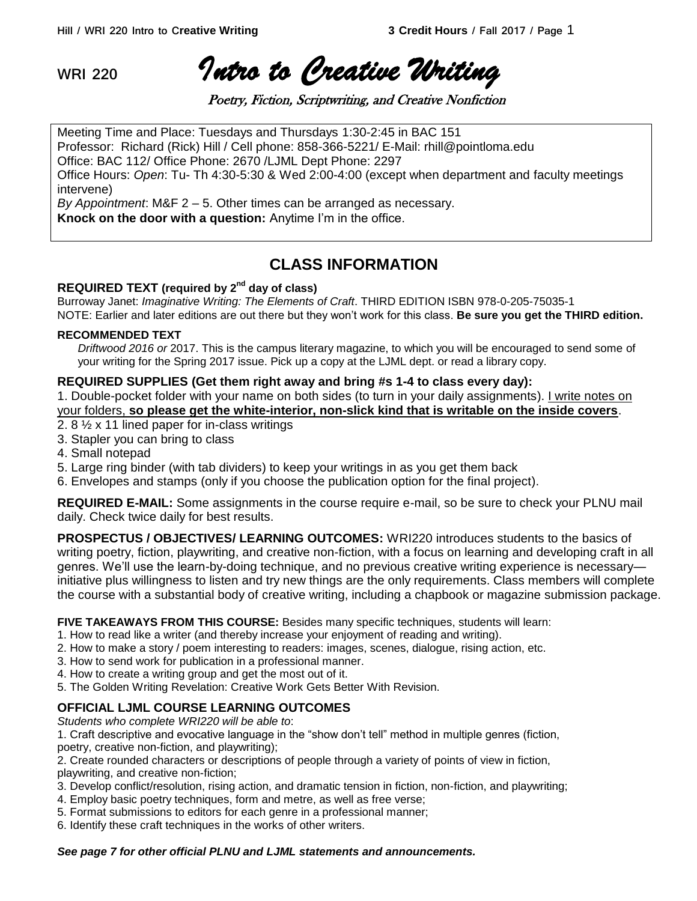**WRI 220** *Intro to Creative Writing* 

Poetry, Fiction, Scriptwriting, and Creative Nonfiction

Meeting Time and Place: Tuesdays and Thursdays 1:30-2:45 in BAC 151 Professor: Richard (Rick) Hill / Cell phone: 858-366-5221/ E-Mail: rhill@pointloma.edu Office: BAC 112/ Office Phone: 2670 /LJML Dept Phone: 2297 Office Hours: *Open*: Tu- Th 4:30-5:30 & Wed 2:00-4:00 (except when department and faculty meetings intervene)

*By Appointment*: M&F 2 – 5. Other times can be arranged as necessary. **Knock on the door with a question:** Anytime I'm in the office.

# **CLASS INFORMATION**

## **REQUIRED TEXT (required by 2nd day of class)**

Burroway Janet: *Imaginative Writing: The Elements of Craft*. THIRD EDITION ISBN 978-0-205-75035-1 NOTE: Earlier and later editions are out there but they won't work for this class. **Be sure you get the THIRD edition.**

## **RECOMMENDED TEXT**

*Driftwood 2016 or* 2017. This is the campus literary magazine, to which you will be encouraged to send some of your writing for the Spring 2017 issue. Pick up a copy at the LJML dept. or read a library copy.

## **REQUIRED SUPPLIES (Get them right away and bring #s 1-4 to class every day):**

1. Double-pocket folder with your name on both sides (to turn in your daily assignments). I write notes on your folders, **so please get the white-interior, non-slick kind that is writable on the inside covers**.

- 2. 8 ½ x 11 lined paper for in-class writings
- 3. Stapler you can bring to class
- 4. Small notepad
- 5. Large ring binder (with tab dividers) to keep your writings in as you get them back
- 6. Envelopes and stamps (only if you choose the publication option for the final project).

**REQUIRED E-MAIL:** Some assignments in the course require e-mail, so be sure to check your PLNU mail daily. Check twice daily for best results.

**PROSPECTUS / OBJECTIVES/ LEARNING OUTCOMES:** WRI220 introduces students to the basics of writing poetry, fiction, playwriting, and creative non-fiction, with a focus on learning and developing craft in all genres. We'll use the learn-by-doing technique, and no previous creative writing experience is necessary initiative plus willingness to listen and try new things are the only requirements. Class members will complete the course with a substantial body of creative writing, including a chapbook or magazine submission package.

**FIVE TAKEAWAYS FROM THIS COURSE:** Besides many specific techniques, students will learn:

- 1. How to read like a writer (and thereby increase your enjoyment of reading and writing).
- 2. How to make a story / poem interesting to readers: images, scenes, dialogue, rising action, etc.
- 3. How to send work for publication in a professional manner.
- 4. How to create a writing group and get the most out of it.
- 5. The Golden Writing Revelation: Creative Work Gets Better With Revision.

## **OFFICIAL LJML COURSE LEARNING OUTCOMES**

*Students who complete WRI220 will be able to*:

1. Craft descriptive and evocative language in the "show don't tell" method in multiple genres (fiction,

poetry, creative non-fiction, and playwriting);

2. Create rounded characters or descriptions of people through a variety of points of view in fiction,

- playwriting, and creative non-fiction;
- 3. Develop conflict/resolution, rising action, and dramatic tension in fiction, non-fiction, and playwriting;
- 4. Employ basic poetry techniques, form and metre, as well as free verse;
- 5. Format submissions to editors for each genre in a professional manner;
- 6. Identify these craft techniques in the works of other writers.

## *See page 7 for other official PLNU and LJML statements and announcements.*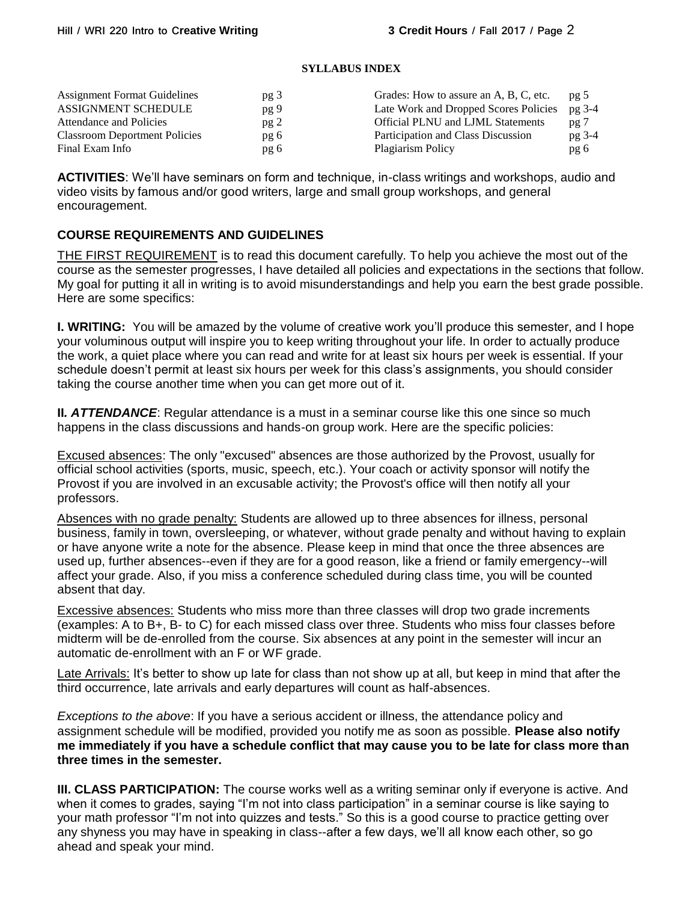## **SYLLABUS INDEX**

| <b>Assignment Format Guidelines</b>  | pg <sub>3</sub> | Grades: How to assure an A, B, C, etc.   | pg <sub>5</sub> |
|--------------------------------------|-----------------|------------------------------------------|-----------------|
| ASSIGNMENT SCHEDULE                  | pg 9            | Late Work and Dropped Scores Policies    | pg 3-4          |
| Attendance and Policies              | pg2             | <b>Official PLNU and LJML Statements</b> | pg 7            |
| <b>Classroom Deportment Policies</b> | pg 6            | Participation and Class Discussion       | pg 3-4          |
| Final Exam Info                      | pg 6            | Plagiarism Policy                        | pg 6            |

**ACTIVITIES**: We'll have seminars on form and technique, in-class writings and workshops, audio and video visits by famous and/or good writers, large and small group workshops, and general encouragement.

## **COURSE REQUIREMENTS AND GUIDELINES**

THE FIRST REQUIREMENT is to read this document carefully. To help you achieve the most out of the course as the semester progresses, I have detailed all policies and expectations in the sections that follow. My goal for putting it all in writing is to avoid misunderstandings and help you earn the best grade possible. Here are some specifics:

**I. WRITING:** You will be amazed by the volume of creative work you'll produce this semester, and I hope your voluminous output will inspire you to keep writing throughout your life. In order to actually produce the work, a quiet place where you can read and write for at least six hours per week is essential. If your schedule doesn't permit at least six hours per week for this class's assignments, you should consider taking the course another time when you can get more out of it.

**II**. **ATTENDANCE**: Regular attendance is a must in a seminar course like this one since so much happens in the class discussions and hands-on group work. Here are the specific policies:

Excused absences: The only "excused" absences are those authorized by the Provost, usually for official school activities (sports, music, speech, etc.). Your coach or activity sponsor will notify the Provost if you are involved in an excusable activity; the Provost's office will then notify all your professors.

Absences with no grade penalty: Students are allowed up to three absences for illness, personal business, family in town, oversleeping, or whatever, without grade penalty and without having to explain or have anyone write a note for the absence. Please keep in mind that once the three absences are used up, further absences--even if they are for a good reason, like a friend or family emergency--will affect your grade. Also, if you miss a conference scheduled during class time, you will be counted absent that day.

Excessive absences: Students who miss more than three classes will drop two grade increments (examples: A to B+, B- to C) for each missed class over three. Students who miss four classes before midterm will be de-enrolled from the course. Six absences at any point in the semester will incur an automatic de-enrollment with an F or WF grade.

Late Arrivals: It's better to show up late for class than not show up at all, but keep in mind that after the third occurrence, late arrivals and early departures will count as half-absences.

*Exceptions to the above*: If you have a serious accident or illness, the attendance policy and assignment schedule will be modified, provided you notify me as soon as possible. **Please also notify me immediately if you have a schedule conflict that may cause you to be late for class more than three times in the semester.** 

**III. CLASS PARTICIPATION:** The course works well as a writing seminar only if everyone is active. And when it comes to grades, saying "I'm not into class participation" in a seminar course is like saying to your math professor "I'm not into quizzes and tests." So this is a good course to practice getting over any shyness you may have in speaking in class--after a few days, we'll all know each other, so go ahead and speak your mind.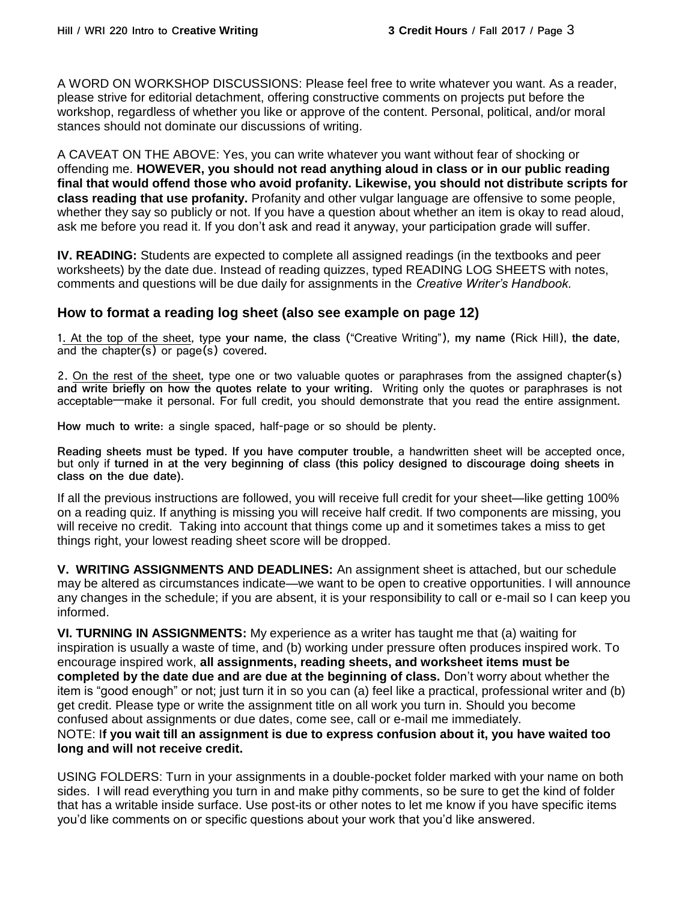A WORD ON WORKSHOP DISCUSSIONS: Please feel free to write whatever you want. As a reader, please strive for editorial detachment, offering constructive comments on projects put before the workshop, regardless of whether you like or approve of the content. Personal, political, and/or moral stances should not dominate our discussions of writing.

A CAVEAT ON THE ABOVE: Yes, you can write whatever you want without fear of shocking or offending me. **HOWEVER, you should not read anything aloud in class or in our public reading final that would offend those who avoid profanity. Likewise, you should not distribute scripts for class reading that use profanity.** Profanity and other vulgar language are offensive to some people, whether they say so publicly or not. If you have a question about whether an item is okay to read aloud, ask me before you read it. If you don't ask and read it anyway, your participation grade will suffer.

**IV. READING:** Students are expected to complete all assigned readings (in the textbooks and peer worksheets) by the date due. Instead of reading quizzes, typed READING LOG SHEETS with notes, comments and questions will be due daily for assignments in the *Creative Writer's Handbook.*

## **How to format a reading log sheet (also see example on page 12)**

1. At the top of the sheet, type **your name**, **the class** ("Creative Writing"), **my name** (Rick Hill), **the date**, and the chapter(s) or page(s) covered.

2. On the rest of the sheet, type one or two valuable quotes or paraphrases from the assigned chapter(s) **and write briefly on how the quotes relate to your writing.** Writing only the quotes or paraphrases is not acceptable—make it personal. For full credit, you should demonstrate that you read the entire assignment.

**How much to write**: a single spaced, half-page or so should be plenty.

**Reading sheets must be typed. If you have computer trouble,** a handwritten sheet will be accepted once, but only if **turned in at the very beginning of class (this policy designed to discourage doing sheets in class on the due date).**

If all the previous instructions are followed, you will receive full credit for your sheet—like getting 100% on a reading quiz. If anything is missing you will receive half credit. If two components are missing, you will receive no credit. Taking into account that things come up and it sometimes takes a miss to get things right, your lowest reading sheet score will be dropped.

**V. WRITING ASSIGNMENTS AND DEADLINES:** An assignment sheet is attached, but our schedule may be altered as circumstances indicate—we want to be open to creative opportunities. I will announce any changes in the schedule; if you are absent, it is your responsibility to call or e-mail so I can keep you informed.

**VI. TURNING IN ASSIGNMENTS:** My experience as a writer has taught me that (a) waiting for inspiration is usually a waste of time, and (b) working under pressure often produces inspired work. To encourage inspired work, **all assignments, reading sheets, and worksheet items must be completed by the date due and are due at the beginning of class.** Don't worry about whether the item is "good enough" or not; just turn it in so you can (a) feel like a practical, professional writer and (b) get credit. Please type or write the assignment title on all work you turn in. Should you become confused about assignments or due dates, come see, call or e-mail me immediately.

## NOTE: I**f you wait till an assignment is due to express confusion about it, you have waited too long and will not receive credit.**

USING FOLDERS: Turn in your assignments in a double-pocket folder marked with your name on both sides. I will read everything you turn in and make pithy comments, so be sure to get the kind of folder that has a writable inside surface. Use post-its or other notes to let me know if you have specific items you'd like comments on or specific questions about your work that you'd like answered.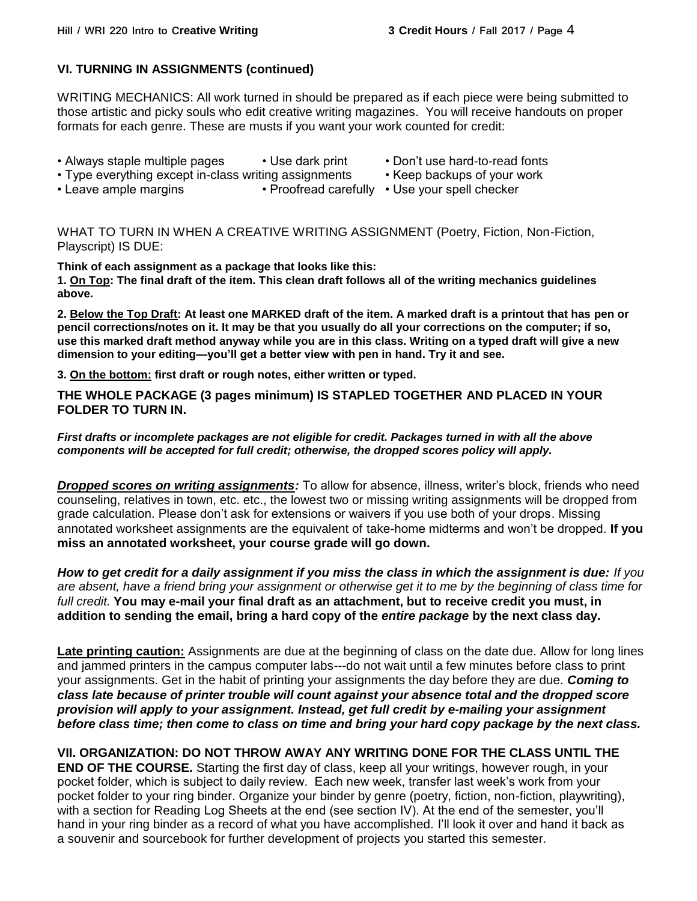## **VI. TURNING IN ASSIGNMENTS (continued)**

WRITING MECHANICS: All work turned in should be prepared as if each piece were being submitted to those artistic and picky souls who edit creative writing magazines. You will receive handouts on proper formats for each genre. These are musts if you want your work counted for credit:

- Always staple multiple pages Use dark print Don't use hard-to-read fonts
- Type everything except in-class writing assignments Keep backups of your work
- -
- Leave ample margins Proofread carefully Use your spell checker

WHAT TO TURN IN WHEN A CREATIVE WRITING ASSIGNMENT (Poetry, Fiction, Non-Fiction, Playscript) IS DUE:

**Think of each assignment as a package that looks like this:**

**1. On Top: The final draft of the item. This clean draft follows all of the writing mechanics guidelines above.**

**2. Below the Top Draft: At least one MARKED draft of the item. A marked draft is a printout that has pen or pencil corrections/notes on it. It may be that you usually do all your corrections on the computer; if so, use this marked draft method anyway while you are in this class. Writing on a typed draft will give a new dimension to your editing—you'll get a better view with pen in hand. Try it and see.**

**3. On the bottom: first draft or rough notes, either written or typed.**

**THE WHOLE PACKAGE (3 pages minimum) IS STAPLED TOGETHER AND PLACED IN YOUR FOLDER TO TURN IN.**

## *First drafts or incomplete packages are not eligible for credit. Packages turned in with all the above components will be accepted for full credit; otherwise, the dropped scores policy will apply.*

*Dropped scores on writing assignments:* To allow for absence, illness, writer's block, friends who need counseling, relatives in town, etc. etc., the lowest two or missing writing assignments will be dropped from grade calculation. Please don't ask for extensions or waivers if you use both of your drops. Missing annotated worksheet assignments are the equivalent of take-home midterms and won't be dropped. **If you miss an annotated worksheet, your course grade will go down.**

*How to get credit for a daily assignment if you miss the class in which the assignment is due: If you are absent, have a friend bring your assignment or otherwise get it to me by the beginning of class time for full credit.* **You may e-mail your final draft as an attachment, but to receive credit you must, in addition to sending the email, bring a hard copy of the** *entire package* **by the next class day.**

**Late printing caution:** Assignments are due at the beginning of class on the date due. Allow for long lines and jammed printers in the campus computer labs---do not wait until a few minutes before class to print your assignments. Get in the habit of printing your assignments the day before they are due. *Coming to class late because of printer trouble will count against your absence total and the dropped score provision will apply to your assignment. Instead, get full credit by e-mailing your assignment before class time; then come to class on time and bring your hard copy package by the next class.* 

**VII. ORGANIZATION: DO NOT THROW AWAY ANY WRITING DONE FOR THE CLASS UNTIL THE END OF THE COURSE.** Starting the first day of class, keep all your writings, however rough, in your pocket folder, which is subject to daily review. Each new week, transfer last week's work from your pocket folder to your ring binder. Organize your binder by genre (poetry, fiction, non-fiction, playwriting), with a section for Reading Log Sheets at the end (see section IV). At the end of the semester, you'll hand in your ring binder as a record of what you have accomplished. I'll look it over and hand it back as a souvenir and sourcebook for further development of projects you started this semester.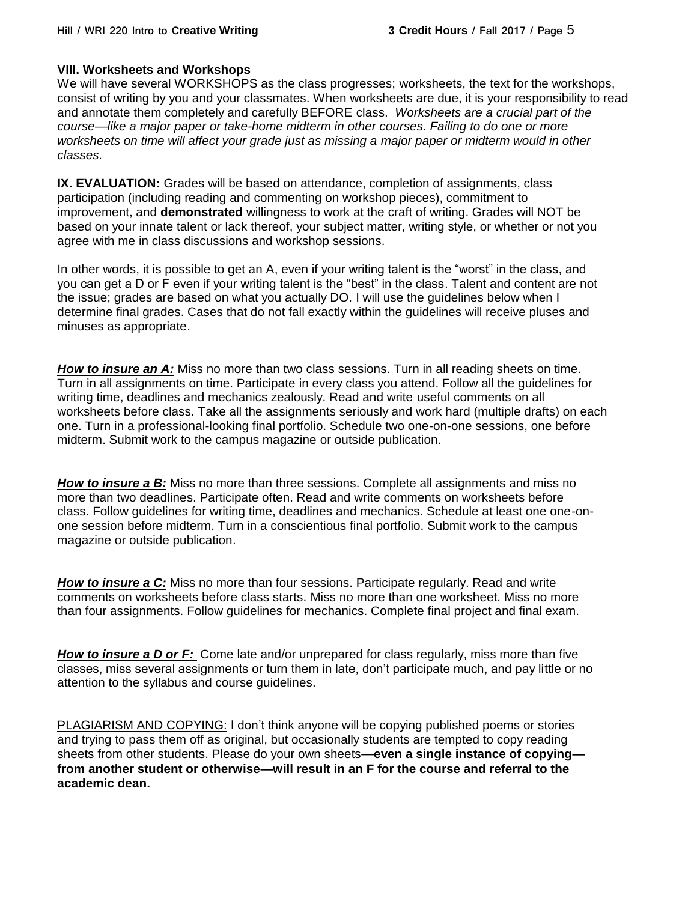## **VIII. Worksheets and Workshops**

We will have several WORKSHOPS as the class progresses; worksheets, the text for the workshops, consist of writing by you and your classmates. When worksheets are due, it is your responsibility to read and annotate them completely and carefully BEFORE class. *Worksheets are a crucial part of the course—like a major paper or take-home midterm in other courses. Failing to do one or more*  worksheets on time will affect your grade just as missing a major paper or midterm would in other *classes.*

**IX. EVALUATION:** Grades will be based on attendance, completion of assignments, class participation (including reading and commenting on workshop pieces), commitment to improvement, and **demonstrated** willingness to work at the craft of writing. Grades will NOT be based on your innate talent or lack thereof, your subject matter, writing style, or whether or not you agree with me in class discussions and workshop sessions.

In other words, it is possible to get an A, even if your writing talent is the "worst" in the class, and you can get a D or F even if your writing talent is the "best" in the class. Talent and content are not the issue; grades are based on what you actually DO. I will use the guidelines below when I determine final grades. Cases that do not fall exactly within the guidelines will receive pluses and minuses as appropriate.

**How to insure an A:** Miss no more than two class sessions. Turn in all reading sheets on time. Turn in all assignments on time. Participate in every class you attend. Follow all the guidelines for writing time, deadlines and mechanics zealously. Read and write useful comments on all worksheets before class. Take all the assignments seriously and work hard (multiple drafts) on each one. Turn in a professional-looking final portfolio. Schedule two one-on-one sessions, one before midterm. Submit work to the campus magazine or outside publication.

*How to insure a B:* Miss no more than three sessions. Complete all assignments and miss no more than two deadlines. Participate often. Read and write comments on worksheets before class. Follow guidelines for writing time, deadlines and mechanics. Schedule at least one one-onone session before midterm. Turn in a conscientious final portfolio. Submit work to the campus magazine or outside publication.

*How to insure a C:* Miss no more than four sessions. Participate regularly. Read and write comments on worksheets before class starts. Miss no more than one worksheet. Miss no more than four assignments. Follow guidelines for mechanics. Complete final project and final exam.

*How to insure a D or F:* Come late and/or unprepared for class regularly, miss more than five classes, miss several assignments or turn them in late, don't participate much, and pay little or no attention to the syllabus and course guidelines.

PLAGIARISM AND COPYING: I don't think anyone will be copying published poems or stories and trying to pass them off as original, but occasionally students are tempted to copy reading sheets from other students. Please do your own sheets—**even a single instance of copying from another student or otherwise—will result in an F for the course and referral to the academic dean.**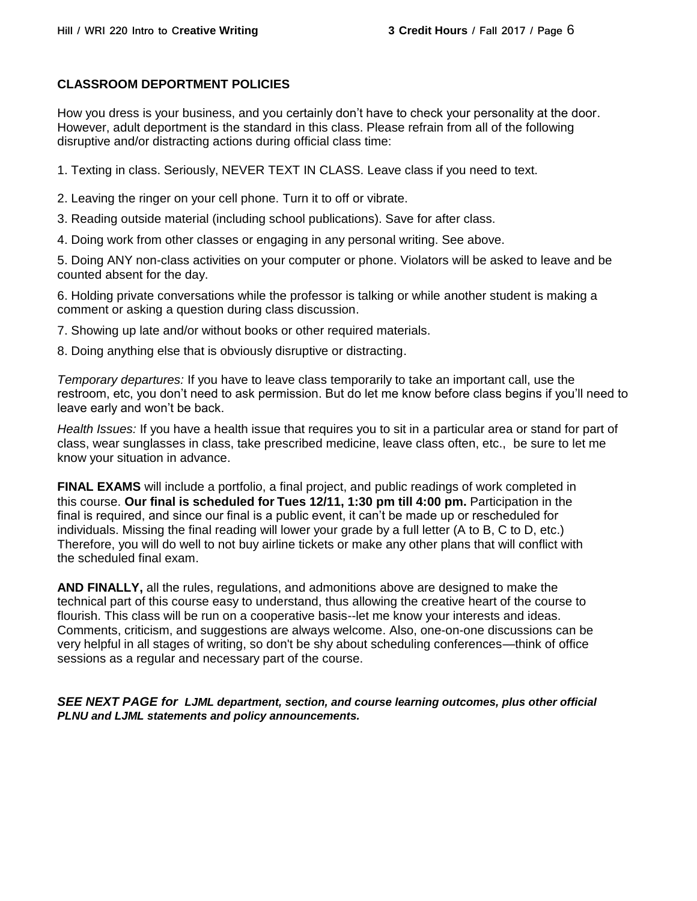## **CLASSROOM DEPORTMENT POLICIES**

How you dress is your business, and you certainly don't have to check your personality at the door. However, adult deportment is the standard in this class. Please refrain from all of the following disruptive and/or distracting actions during official class time:

1. Texting in class. Seriously, NEVER TEXT IN CLASS. Leave class if you need to text.

2. Leaving the ringer on your cell phone. Turn it to off or vibrate.

3. Reading outside material (including school publications). Save for after class.

4. Doing work from other classes or engaging in any personal writing. See above.

5. Doing ANY non-class activities on your computer or phone. Violators will be asked to leave and be counted absent for the day.

6. Holding private conversations while the professor is talking or while another student is making a comment or asking a question during class discussion.

7. Showing up late and/or without books or other required materials.

8. Doing anything else that is obviously disruptive or distracting.

*Temporary departures:* If you have to leave class temporarily to take an important call, use the restroom, etc, you don't need to ask permission. But do let me know before class begins if you'll need to leave early and won't be back.

*Health Issues:* If you have a health issue that requires you to sit in a particular area or stand for part of class, wear sunglasses in class, take prescribed medicine, leave class often, etc., be sure to let me know your situation in advance.

**FINAL EXAMS** will include a portfolio, a final project, and public readings of work completed in this course. **Our final is scheduled for Tues 12/11, 1:30 pm till 4:00 pm.** Participation in the final is required, and since our final is a public event, it can't be made up or rescheduled for individuals. Missing the final reading will lower your grade by a full letter (A to B, C to D, etc.) Therefore, you will do well to not buy airline tickets or make any other plans that will conflict with the scheduled final exam.

**AND FINALLY,** all the rules, regulations, and admonitions above are designed to make the technical part of this course easy to understand, thus allowing the creative heart of the course to flourish. This class will be run on a cooperative basis--let me know your interests and ideas. Comments, criticism, and suggestions are always welcome. Also, one-on-one discussions can be very helpful in all stages of writing, so don't be shy about scheduling conferences—think of office sessions as a regular and necessary part of the course.

*SEE NEXT PAGE for LJML department, section, and course learning outcomes, plus other official PLNU and LJML statements and policy announcements.*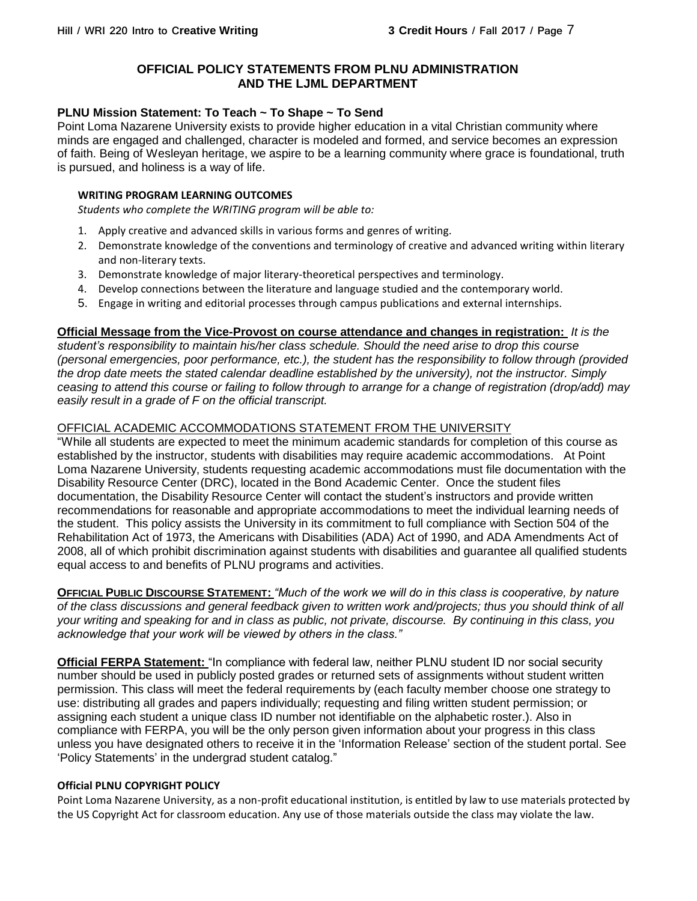## **OFFICIAL POLICY STATEMENTS FROM PLNU ADMINISTRATION AND THE LJML DEPARTMENT**

## **PLNU Mission Statement: To Teach ~ To Shape ~ To Send**

Point Loma Nazarene University exists to provide higher education in a vital Christian community where minds are engaged and challenged, character is modeled and formed, and service becomes an expression of faith. Being of Wesleyan heritage, we aspire to be a learning community where grace is foundational, truth is pursued, and holiness is a way of life.

### **WRITING PROGRAM LEARNING OUTCOMES**

*Students who complete the WRITING program will be able to:*

- 1. Apply creative and advanced skills in various forms and genres of writing.
- 2. Demonstrate knowledge of the conventions and terminology of creative and advanced writing within literary and non-literary texts.
- 3. Demonstrate knowledge of major literary-theoretical perspectives and terminology.
- 4. Develop connections between the literature and language studied and the contemporary world.
- 5. Engage in writing and editorial processes through campus publications and external internships.

## **Official Message from the Vice-Provost on course attendance and changes in registration:** *It is the*

*student's responsibility to maintain his/her class schedule. Should the need arise to drop this course (personal emergencies, poor performance, etc.), the student has the responsibility to follow through (provided the drop date meets the stated calendar deadline established by the university), not the instructor. Simply ceasing to attend this course or failing to follow through to arrange for a change of registration (drop/add) may easily result in a grade of F on the official transcript.*

## OFFICIAL ACADEMIC ACCOMMODATIONS STATEMENT FROM THE UNIVERSITY

"While all students are expected to meet the minimum academic standards for completion of this course as established by the instructor, students with disabilities may require academic accommodations. At Point Loma Nazarene University, students requesting academic accommodations must file documentation with the Disability Resource Center (DRC), located in the Bond Academic Center. Once the student files documentation, the Disability Resource Center will contact the student's instructors and provide written recommendations for reasonable and appropriate accommodations to meet the individual learning needs of the student. This policy assists the University in its commitment to full compliance with Section 504 of the Rehabilitation Act of 1973, the Americans with Disabilities (ADA) Act of 1990, and ADA Amendments Act of 2008, all of which prohibit discrimination against students with disabilities and guarantee all qualified students equal access to and benefits of PLNU programs and activities.

**OFFICIAL PUBLIC DISCOURSE STATEMENT:** *"Much of the work we will do in this class is cooperative, by nature of the class discussions and general feedback given to written work and/projects; thus you should think of all your writing and speaking for and in class as public, not private, discourse. By continuing in this class, you acknowledge that your work will be viewed by others in the class."*

**Official FERPA Statement:** "In compliance with federal law, neither PLNU student ID nor social security number should be used in publicly posted grades or returned sets of assignments without student written permission. This class will meet the federal requirements by (each faculty member choose one strategy to use: distributing all grades and papers individually; requesting and filing written student permission; or assigning each student a unique class ID number not identifiable on the alphabetic roster.). Also in compliance with FERPA, you will be the only person given information about your progress in this class unless you have designated others to receive it in the 'Information Release' section of the student portal. See 'Policy Statements' in the undergrad student catalog."

### **Official PLNU COPYRIGHT POLICY**

Point Loma Nazarene University, as a non-profit educational institution, is entitled by law to use materials protected by the US Copyright Act for classroom education. Any use of those materials outside the class may violate the law.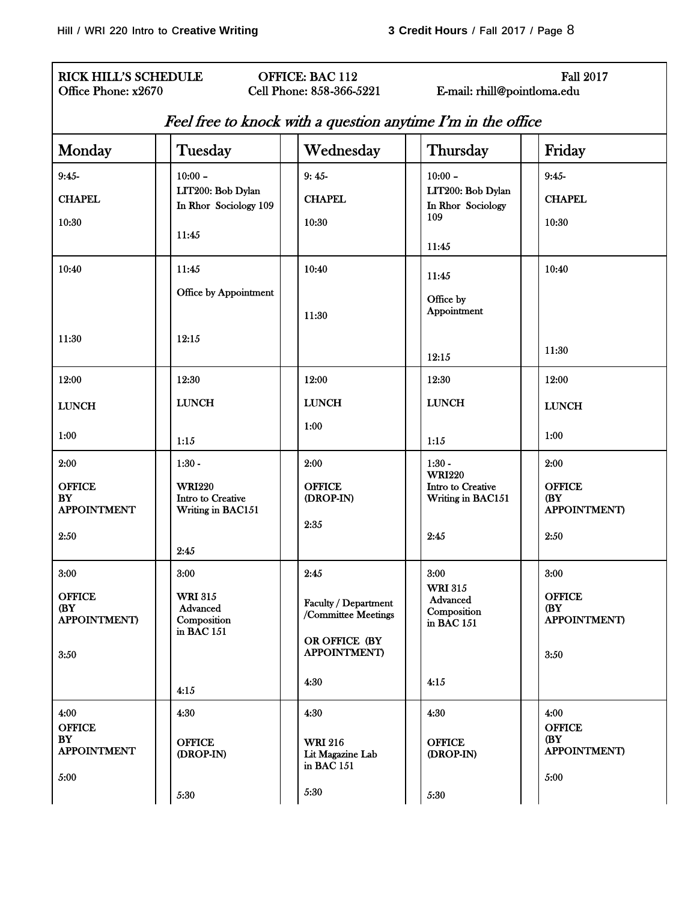## RICK HILL'S SCHEDULE **OFFICE: BAC 112** Fall 2017 Office Phone: x2670 Cell Phone: 858-366-5221 E-mail: rhill@pointloma.edu

| Monday                                              | Tuesday                                                 | Wednesday                                                                            | Thursday                                                | Friday                                              |
|-----------------------------------------------------|---------------------------------------------------------|--------------------------------------------------------------------------------------|---------------------------------------------------------|-----------------------------------------------------|
| $9:45-$                                             | $10:00 -$                                               | $9:45-$                                                                              | $10:00 -$                                               | $9:45-$                                             |
| <b>CHAPEL</b>                                       | LIT200: Bob Dylan<br>In Rhor Sociology 109              | <b>CHAPEL</b>                                                                        | LIT200: Bob Dylan<br>In Rhor Sociology                  | <b>CHAPEL</b>                                       |
| 10:30                                               |                                                         | 10:30                                                                                | 109                                                     | 10:30                                               |
|                                                     | 11:45                                                   |                                                                                      | 11:45                                                   |                                                     |
| 10:40                                               | 11:45                                                   | 10:40                                                                                | 11:45                                                   | 10:40                                               |
|                                                     | Office by Appointment                                   | 11:30                                                                                | Office by<br>Appointment                                |                                                     |
| 11:30                                               | 12:15                                                   |                                                                                      | 12:15                                                   | 11:30                                               |
| 12:00                                               | 12:30                                                   | 12:00                                                                                | 12:30                                                   | 12:00                                               |
| <b>LUNCH</b>                                        | <b>LUNCH</b>                                            | <b>LUNCH</b>                                                                         | <b>LUNCH</b>                                            | <b>LUNCH</b>                                        |
| 1:00                                                | 1:15                                                    | 1:00                                                                                 | 1:15                                                    | 1:00                                                |
| 2:00                                                | $1:30 -$                                                | 2:00                                                                                 | $1:30 -$<br><b>WRI220</b>                               | 2:00                                                |
| <b>OFFICE</b><br>BY<br><b>APPOINTMENT</b>           | <b>WRI220</b><br>Intro to Creative<br>Writing in BAC151 | <b>OFFICE</b><br>(DROP-IN)                                                           | Intro to Creative<br>Writing in BAC151                  | <b>OFFICE</b><br>(BY<br><b>APPOINTMENT</b> )        |
| 2:50                                                |                                                         | 2:35                                                                                 | 2:45                                                    | 2:50                                                |
| 3:00                                                | 2:45<br>3:00                                            | 2:45                                                                                 | 3:00                                                    | 3:00                                                |
| <b>OFFICE</b><br>(BY<br><b>APPOINTMENT)</b><br>3:50 | <b>WRI 315</b><br>Advanced<br>Composition<br>in BAC 151 | Faculty / Department<br>/Committee Meetings<br>OR OFFICE (BY<br><b>APPOINTMENT</b> ) | <b>WRI 315</b><br>Advanced<br>Composition<br>in BAC 151 | <b>OFFICE</b><br>(BY<br><b>APPOINTMENT)</b><br>3:50 |
|                                                     |                                                         |                                                                                      |                                                         |                                                     |
|                                                     | 4:15                                                    | 4:30                                                                                 | 4:15                                                    |                                                     |
| 4:00<br><b>OFFICE</b>                               | 4:30                                                    | 4:30                                                                                 | 4:30                                                    | 4:00<br><b>OFFICE</b>                               |
| <b>BY</b><br><b>APPOINTMENT</b>                     | <b>OFFICE</b><br>(DROP-IN)                              | <b>WRI 216</b><br>Lit Magazine Lab<br>in BAC 151                                     | <b>OFFICE</b><br>(DROP-IN)                              | (BY)<br><b>APPOINTMENT</b> )                        |
| 5:00                                                | 5:30                                                    | 5:30                                                                                 | 5:30                                                    | 5:00                                                |

# Feel free to knock with a question anytime I'm in the office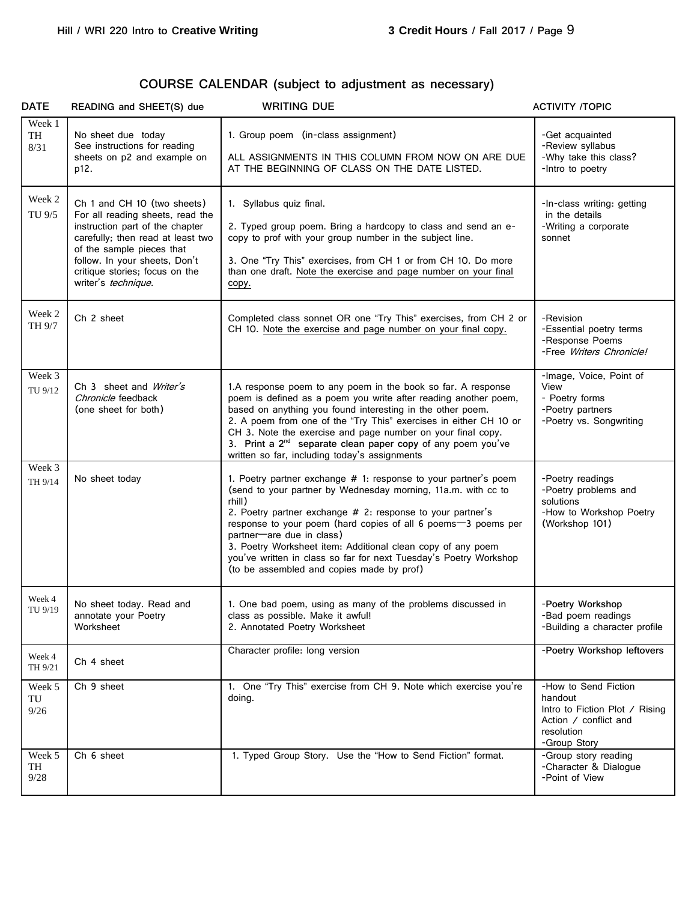# **COURSE CALENDAR (subject to adjustment as necessary)**

| <b>DATE</b>          | READING and SHEET(S) due                                                                                                                                                                                                                                       | <b>WRITING DUE</b>                                                                                                                                                                                                                                                                                                                                                                                                                                                                        | <b>ACTIVITY /TOPIC</b>                                                                                                   |
|----------------------|----------------------------------------------------------------------------------------------------------------------------------------------------------------------------------------------------------------------------------------------------------------|-------------------------------------------------------------------------------------------------------------------------------------------------------------------------------------------------------------------------------------------------------------------------------------------------------------------------------------------------------------------------------------------------------------------------------------------------------------------------------------------|--------------------------------------------------------------------------------------------------------------------------|
| Week 1<br>TH<br>8/31 | No sheet due today<br>See instructions for reading<br>sheets on p2 and example on<br>p12.                                                                                                                                                                      | 1. Group poem (in-class assignment)<br>ALL ASSIGNMENTS IN THIS COLUMN FROM NOW ON ARE DUE<br>AT THE BEGINNING OF CLASS ON THE DATE LISTED.                                                                                                                                                                                                                                                                                                                                                | -Get acquainted<br>-Review syllabus<br>-Why take this class?<br>-Intro to poetry                                         |
| Week 2<br>TU 9/5     | Ch 1 and CH 10 (two sheets)<br>For all reading sheets, read the<br>instruction part of the chapter<br>carefully; then read at least two<br>of the sample pieces that<br>follow. In your sheets, Don't<br>critique stories; focus on the<br>writer's technique. | 1. Syllabus quiz final.<br>2. Typed group poem. Bring a hardcopy to class and send an e-<br>copy to prof with your group number in the subject line.<br>3. One "Try This" exercises, from CH 1 or from CH 10. Do more<br>than one draft. Note the exercise and page number on your final<br>copy.                                                                                                                                                                                         | -In-class writing: getting<br>in the details<br>-Writing a corporate<br>sonnet                                           |
| Week 2<br>TH 9/7     | Ch 2 sheet                                                                                                                                                                                                                                                     | Completed class sonnet OR one "Try This" exercises, from CH 2 or<br>CH 10. Note the exercise and page number on your final copy.                                                                                                                                                                                                                                                                                                                                                          | -Revision<br>-Essential poetry terms<br>-Response Poems<br>-Free Writers Chronicle!                                      |
| Week 3<br>TU 9/12    | Ch 3 sheet and Writer's<br>Chronicle feedback<br>(one sheet for both)                                                                                                                                                                                          | 1.A response poem to any poem in the book so far. A response<br>poem is defined as a poem you write after reading another poem,<br>based on anything you found interesting in the other poem.<br>2. A poem from one of the "Try This" exercises in either CH 10 or<br>CH 3. Note the exercise and page number on your final copy.<br>3. Print a 2 <sup>nd</sup> separate clean paper copy of any poem you've<br>written so far, including today's assignments                             | -Image, Voice, Point of<br>View<br>- Poetry forms<br>-Poetry partners<br>-Poetry vs. Songwriting                         |
| Week 3<br>TH 9/14    | No sheet today                                                                                                                                                                                                                                                 | 1. Poetry partner exchange # 1: response to your partner's poem<br>(send to your partner by Wednesday morning, 11a.m. with cc to<br>rhill)<br>2. Poetry partner exchange $#$ 2: response to your partner's<br>response to your poem (hard copies of all 6 poems-3 poems per<br>partner-are due in class)<br>3. Poetry Worksheet item: Additional clean copy of any poem<br>you've written in class so far for next Tuesday's Poetry Workshop<br>(to be assembled and copies made by prof) | -Poetry readings<br>-Poetry problems and<br>solutions<br>-How to Workshop Poetry<br>(Workshop 101)                       |
| Week 4<br>TU 9/19    | No sheet today. Read and<br>annotate your Poetry<br>Worksheet                                                                                                                                                                                                  | 1. One bad poem, using as many of the problems discussed in<br>class as possible. Make it awful!<br>2. Annotated Poetry Worksheet                                                                                                                                                                                                                                                                                                                                                         | -Poetry Workshop<br>-Bad poem readings<br>-Building a character profile                                                  |
| Week 4<br>TH 9/21    | Ch 4 sheet                                                                                                                                                                                                                                                     | Character profile: long version                                                                                                                                                                                                                                                                                                                                                                                                                                                           | -Poetry Workshop leftovers                                                                                               |
| Week 5<br>TU<br>9/26 | Ch 9 sheet                                                                                                                                                                                                                                                     | 1. One "Try This" exercise from CH 9. Note which exercise you're<br>doing.                                                                                                                                                                                                                                                                                                                                                                                                                | -How to Send Fiction<br>handout<br>Intro to Fiction Plot / Rising<br>Action / conflict and<br>resolution<br>-Group Story |
| Week 5<br>TH<br>9/28 | Ch 6 sheet                                                                                                                                                                                                                                                     | 1. Typed Group Story. Use the "How to Send Fiction" format.                                                                                                                                                                                                                                                                                                                                                                                                                               | -Group story reading<br>-Character & Dialogue<br>-Point of View                                                          |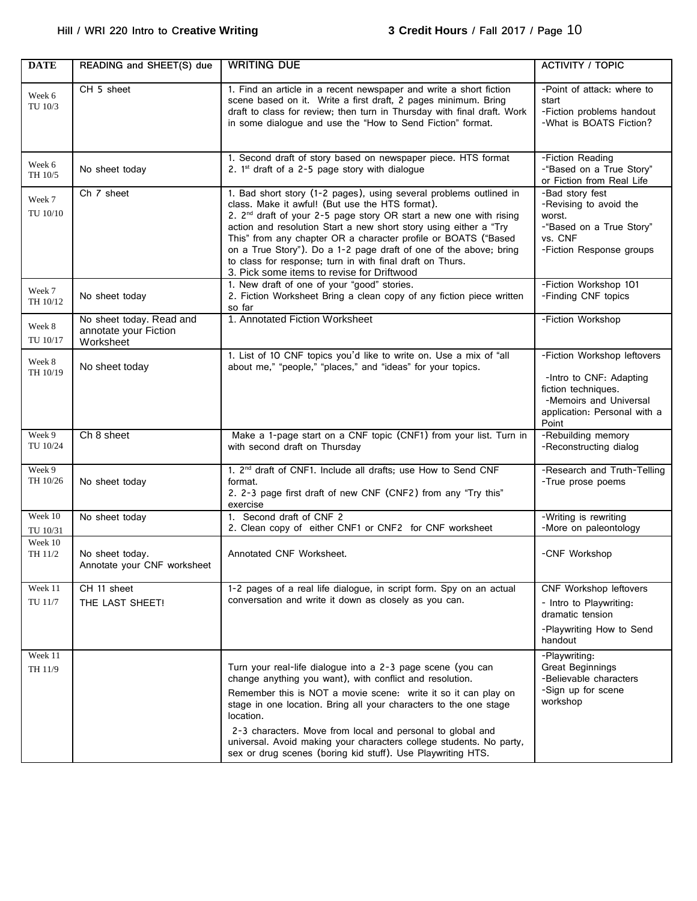| <b>DATE</b>         | READING and SHEET(S) due                                       | <b>WRITING DUE</b>                                                                                                                                                                                                                                                                                                                                                                                                                                                                                                             | <b>ACTIVITY / TOPIC</b>                                                                                                                          |
|---------------------|----------------------------------------------------------------|--------------------------------------------------------------------------------------------------------------------------------------------------------------------------------------------------------------------------------------------------------------------------------------------------------------------------------------------------------------------------------------------------------------------------------------------------------------------------------------------------------------------------------|--------------------------------------------------------------------------------------------------------------------------------------------------|
| Week 6<br>TU 10/3   | CH 5 sheet                                                     | 1. Find an article in a recent newspaper and write a short fiction<br>scene based on it. Write a first draft, 2 pages minimum. Bring<br>draft to class for review; then turn in Thursday with final draft. Work<br>in some dialogue and use the "How to Send Fiction" format.                                                                                                                                                                                                                                                  | -Point of attack: where to<br>start<br>-Fiction problems handout<br>-What is BOATS Fiction?                                                      |
| Week 6<br>TH 10/5   | No sheet today                                                 | 1. Second draft of story based on newspaper piece. HTS format<br>2. $1st$ draft of a 2-5 page story with dialogue                                                                                                                                                                                                                                                                                                                                                                                                              | -Fiction Reading<br>-"Based on a True Story"<br>or Fiction from Real Life                                                                        |
| Week 7<br>TU 10/10  | Ch 7 sheet                                                     | 1. Bad short story (1-2 pages), using several problems outlined in<br>class. Make it awful! (But use the HTS format).<br>2. 2 <sup>nd</sup> draft of your 2-5 page story OR start a new one with rising<br>action and resolution Start a new short story using either a "Try<br>This" from any chapter OR a character profile or BOATS ("Based<br>on a True Story"). Do a 1-2 page draft of one of the above; bring<br>to class for response; turn in with final draft on Thurs.<br>3. Pick some items to revise for Driftwood | -Bad story fest<br>-Revising to avoid the<br>worst.<br>-"Based on a True Story"<br>vs. CNF<br>-Fiction Response groups                           |
| Week 7<br>TH 10/12  | No sheet today                                                 | 1. New draft of one of your "good" stories.<br>2. Fiction Worksheet Bring a clean copy of any fiction piece written<br>so far                                                                                                                                                                                                                                                                                                                                                                                                  | -Fiction Workshop 101<br>-Finding CNF topics                                                                                                     |
| Week 8<br>TU 10/17  | No sheet today. Read and<br>annotate your Fiction<br>Worksheet | 1. Annotated Fiction Worksheet                                                                                                                                                                                                                                                                                                                                                                                                                                                                                                 | -Fiction Workshop                                                                                                                                |
| Week 8<br>TH 10/19  | No sheet today                                                 | 1. List of 10 CNF topics you'd like to write on. Use a mix of "all<br>about me," "people," "places," and "ideas" for your topics.                                                                                                                                                                                                                                                                                                                                                                                              | -Fiction Workshop leftovers<br>-Intro to CNF: Adapting<br>fiction techniques.<br>-Memoirs and Universal<br>application: Personal with a<br>Point |
| Week 9<br>TU 10/24  | Ch 8 sheet                                                     | Make a 1-page start on a CNF topic (CNF1) from your list. Turn in<br>with second draft on Thursday                                                                                                                                                                                                                                                                                                                                                                                                                             | -Rebuilding memory<br>-Reconstructing dialog                                                                                                     |
| Week 9<br>TH 10/26  | No sheet today                                                 | 1. 2 <sup>nd</sup> draft of CNF1. Include all drafts; use How to Send CNF<br>format.<br>2. 2-3 page first draft of new CNF (CNF2) from any "Try this"<br>exercise                                                                                                                                                                                                                                                                                                                                                              | -Research and Truth-Telling<br>-True prose poems                                                                                                 |
| Week 10<br>TU 10/31 | No sheet today                                                 | 1. Second draft of CNF 2<br>2. Clean copy of either CNF1 or CNF2 for CNF worksheet                                                                                                                                                                                                                                                                                                                                                                                                                                             | -Writing is rewriting<br>-More on paleontology                                                                                                   |
| Week 10<br>TH 11/2  | No sheet today.<br>Annotate your CNF worksheet                 | Annotated CNF Worksheet.                                                                                                                                                                                                                                                                                                                                                                                                                                                                                                       | -CNF Workshop                                                                                                                                    |
| Week 11<br>TU 11/7  | CH 11 sheet<br>THE LAST SHEET!                                 | 1-2 pages of a real life dialogue, in script form. Spy on an actual<br>conversation and write it down as closely as you can.                                                                                                                                                                                                                                                                                                                                                                                                   | CNF Workshop leftovers<br>- Intro to Playwriting:<br>dramatic tension<br>-Playwriting How to Send<br>handout                                     |
| Week 11<br>TH 11/9  |                                                                | Turn your real-life dialogue into a 2-3 page scene (you can<br>change anything you want), with conflict and resolution.<br>Remember this is NOT a movie scene: write it so it can play on<br>stage in one location. Bring all your characters to the one stage<br>location.<br>2-3 characters. Move from local and personal to global and<br>universal. Avoid making your characters college students. No party,<br>sex or drug scenes (boring kid stuff). Use Playwriting HTS.                                                | -Playwriting:<br><b>Great Beginnings</b><br>-Believable characters<br>-Sign up for scene<br>workshop                                             |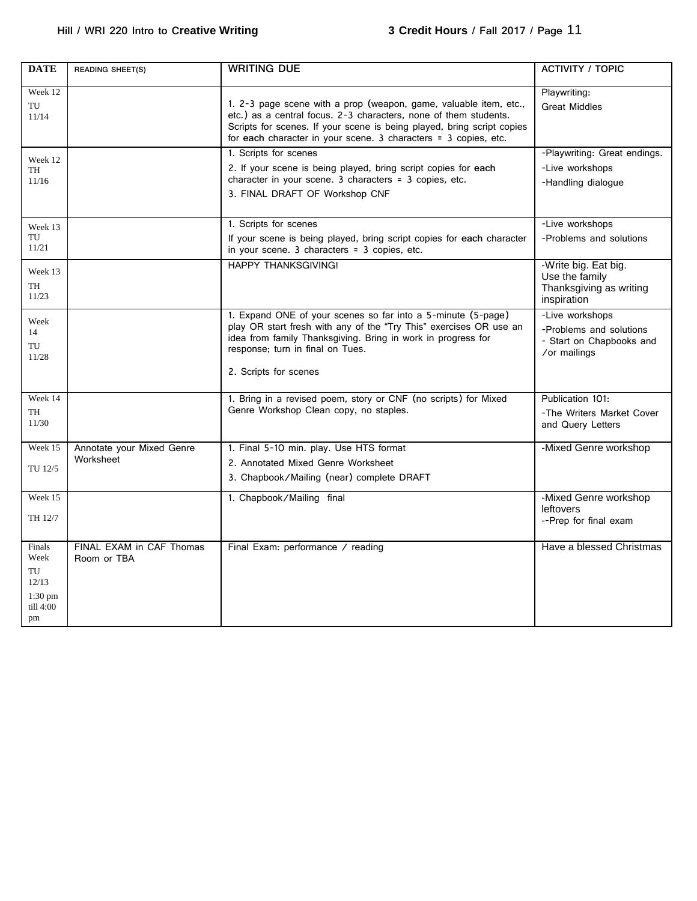| <b>DATE</b>                                                   | <b>READING SHEET(S)</b>                 | <b>WRITING DUE</b>                                                                                                                                                                                                                                                                 | <b>ACTIVITY / TOPIC</b>                                                                |
|---------------------------------------------------------------|-----------------------------------------|------------------------------------------------------------------------------------------------------------------------------------------------------------------------------------------------------------------------------------------------------------------------------------|----------------------------------------------------------------------------------------|
| Week 12<br>TU<br>11/14                                        |                                         | 1. 2-3 page scene with a prop (weapon, game, valuable item, etc.,<br>etc.) as a central focus. 2-3 characters, none of them students.<br>Scripts for scenes. If your scene is being played, bring script copies<br>for each character in your scene. 3 characters = 3 copies, etc. | Playwriting:<br><b>Great Middles</b>                                                   |
| Week 12<br>TH<br>11/16                                        |                                         | 1. Scripts for scenes<br>2. If your scene is being played, bring script copies for each<br>character in your scene. 3 characters = 3 copies, etc.<br>3. FINAL DRAFT OF Workshop CNF                                                                                                | -Playwriting: Great endings.<br>-Live workshops<br>-Handling dialogue                  |
| Week 13<br>TU<br>11/21                                        |                                         | 1. Scripts for scenes<br>If your scene is being played, bring script copies for each character<br>in your scene. 3 characters = 3 copies, etc.                                                                                                                                     | -Live workshops<br>-Problems and solutions                                             |
| Week 13<br>TH<br>11/23                                        |                                         | <b>HAPPY THANKSGIVING!</b>                                                                                                                                                                                                                                                         | -Write big. Eat big.<br>Use the family<br>Thanksgiving as writing<br>inspiration       |
| Week<br>14<br>TU<br>11/28                                     |                                         | 1. Expand ONE of your scenes so far into a 5-minute (5-page)<br>play OR start fresh with any of the "Try This" exercises OR use an<br>idea from family Thanksgiving. Bring in work in progress for<br>response; turn in final on Tues.<br>2. Scripts for scenes                    | -Live workshops<br>-Problems and solutions<br>- Start on Chapbooks and<br>/or mailings |
| Week 14<br>TH<br>11/30                                        |                                         | 1. Bring in a revised poem, story or CNF (no scripts) for Mixed<br>Genre Workshop Clean copy, no staples.                                                                                                                                                                          | Publication 101:<br>-The Writers Market Cover<br>and Query Letters                     |
| Week 15<br>TU 12/5                                            | Annotate your Mixed Genre<br>Worksheet  | 1. Final 5-10 min. play. Use HTS format<br>2. Annotated Mixed Genre Worksheet<br>3. Chapbook/Mailing (near) complete DRAFT                                                                                                                                                         | -Mixed Genre workshop                                                                  |
| Week 15<br>TH 12/7                                            |                                         | 1. Chapbook/Mailing final                                                                                                                                                                                                                                                          | -Mixed Genre workshop<br>leftovers<br>--Prep for final exam                            |
| Finals<br>Week<br>TU<br>12/13<br>$1:30$ pm<br>till 4:00<br>pm | FINAL EXAM in CAF Thomas<br>Room or TBA | Final Exam: performance / reading                                                                                                                                                                                                                                                  | Have a blessed Christmas                                                               |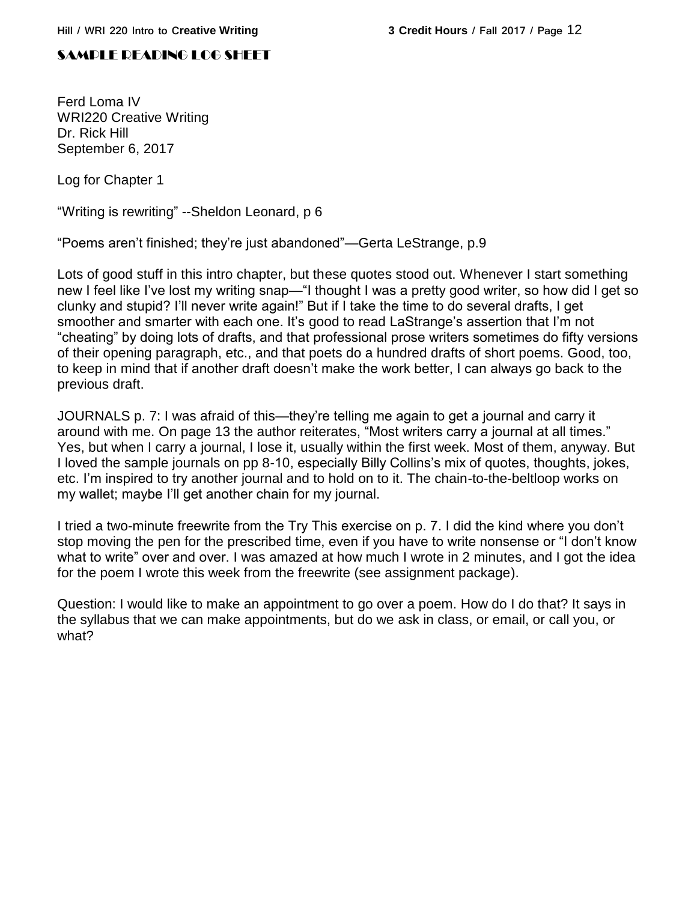## SAMPLE READING LOG SHEET

Ferd Loma IV WRI220 Creative Writing Dr. Rick Hill September 6, 2017

Log for Chapter 1

"Writing is rewriting" --Sheldon Leonard, p 6

"Poems aren't finished; they're just abandoned"—Gerta LeStrange, p.9

Lots of good stuff in this intro chapter, but these quotes stood out. Whenever I start something new I feel like I've lost my writing snap—"I thought I was a pretty good writer, so how did I get so clunky and stupid? I'll never write again!" But if I take the time to do several drafts, I get smoother and smarter with each one. It's good to read LaStrange's assertion that I'm not "cheating" by doing lots of drafts, and that professional prose writers sometimes do fifty versions of their opening paragraph, etc., and that poets do a hundred drafts of short poems. Good, too, to keep in mind that if another draft doesn't make the work better, I can always go back to the previous draft.

JOURNALS p. 7: I was afraid of this—they're telling me again to get a journal and carry it around with me. On page 13 the author reiterates, "Most writers carry a journal at all times." Yes, but when I carry a journal, I lose it, usually within the first week. Most of them, anyway. But I loved the sample journals on pp 8-10, especially Billy Collins's mix of quotes, thoughts, jokes, etc. I'm inspired to try another journal and to hold on to it. The chain-to-the-beltloop works on my wallet; maybe I'll get another chain for my journal.

I tried a two-minute freewrite from the Try This exercise on p. 7. I did the kind where you don't stop moving the pen for the prescribed time, even if you have to write nonsense or "I don't know what to write" over and over. I was amazed at how much I wrote in 2 minutes, and I got the idea for the poem I wrote this week from the freewrite (see assignment package).

Question: I would like to make an appointment to go over a poem. How do I do that? It says in the syllabus that we can make appointments, but do we ask in class, or email, or call you, or what?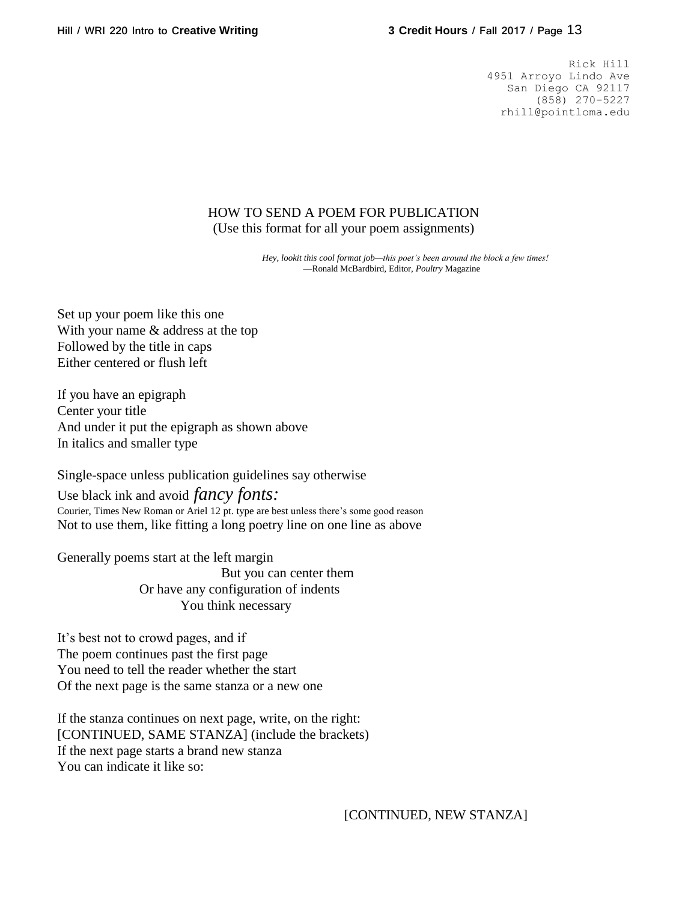Rick Hill 4951 Arroyo Lindo Ave San Diego CA 92117 (858) 270-5227 rhill@pointloma.edu

## HOW TO SEND A POEM FOR PUBLICATION (Use this format for all your poem assignments)

*Hey, lookit this cool format job—this poet's been around the block a few times!* —Ronald McBardbird, Editor, *Poultry* Magazine

Set up your poem like this one With your name & address at the top Followed by the title in caps Either centered or flush left

If you have an epigraph Center your title And under it put the epigraph as shown above In italics and smaller type

Single-space unless publication guidelines say otherwise

Use black ink and avoid *fancy fonts:* Courier, Times New Roman or Ariel 12 pt. type are best unless there's some good reason Not to use them, like fitting a long poetry line on one line as above

Generally poems start at the left margin But you can center them Or have any configuration of indents You think necessary

It's best not to crowd pages, and if The poem continues past the first page You need to tell the reader whether the start Of the next page is the same stanza or a new one

If the stanza continues on next page, write, on the right: [CONTINUED, SAME STANZA] (include the brackets) If the next page starts a brand new stanza You can indicate it like so:

[CONTINUED, NEW STANZA]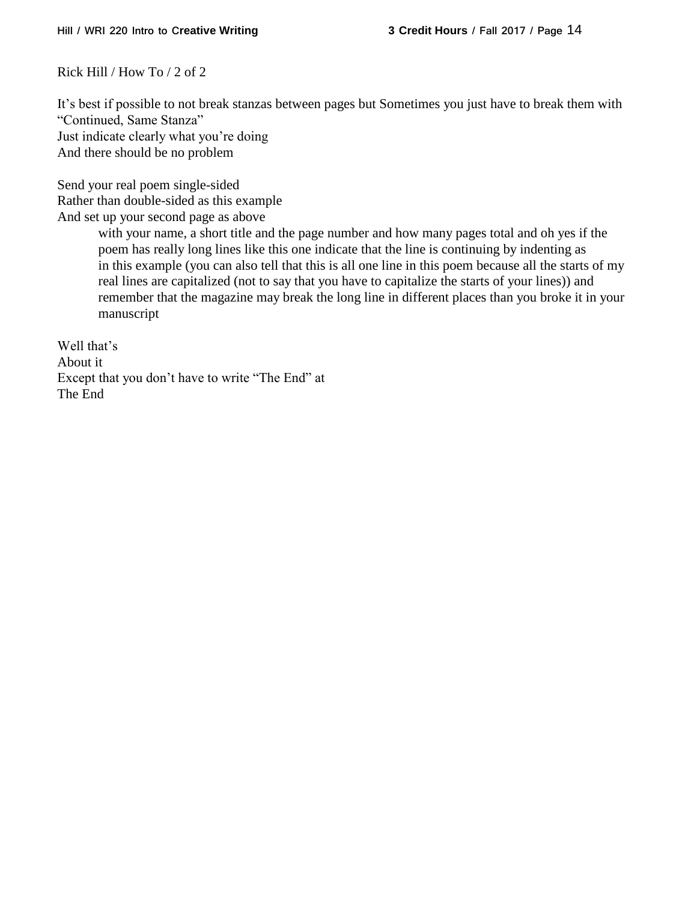Rick Hill / How To / 2 of 2

It's best if possible to not break stanzas between pages but Sometimes you just have to break them with "Continued, Same Stanza" Just indicate clearly what you're doing And there should be no problem

Send your real poem single-sided Rather than double-sided as this example And set up your second page as above

> with your name, a short title and the page number and how many pages total and oh yes if the poem has really long lines like this one indicate that the line is continuing by indenting as in this example (you can also tell that this is all one line in this poem because all the starts of my real lines are capitalized (not to say that you have to capitalize the starts of your lines)) and remember that the magazine may break the long line in different places than you broke it in your manuscript

Well that's About it Except that you don't have to write "The End" at The End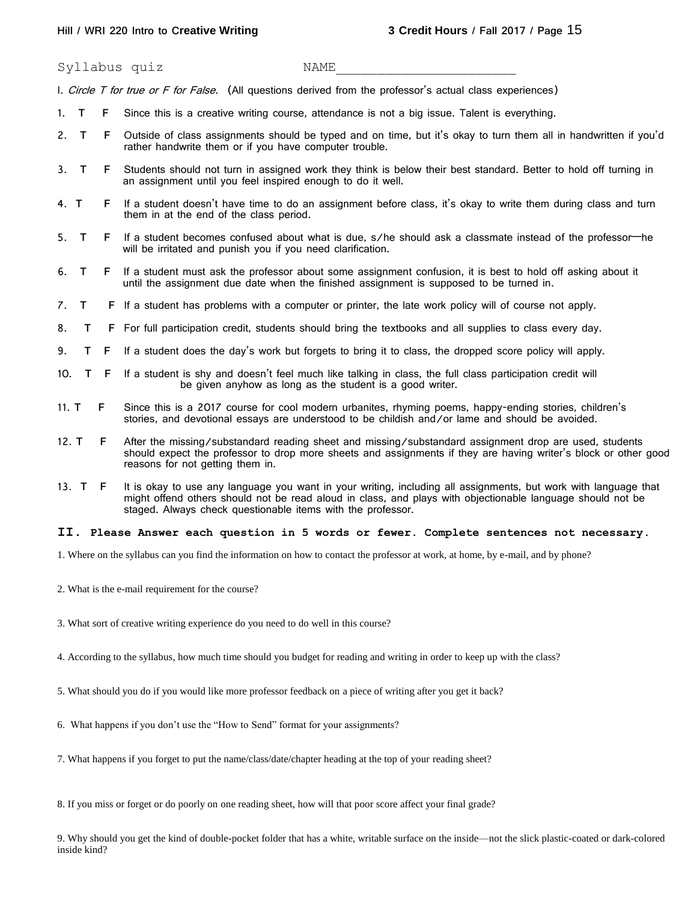Syllabus quiz NAME

I. Circle T for true or F for False. (All questions derived from the professor's actual class experiences)

- 1. **T F** Since this is a creative writing course, attendance is not a big issue. Talent is everything.
- 2. **T F** Outside of class assignments should be typed and on time, but it's okay to turn them all in handwritten if you'd rather handwrite them or if you have computer trouble.
- 3. **T F** Students should not turn in assigned work they think is below their best standard. Better to hold off turning in an assignment until you feel inspired enough to do it well.
- 4. **T F** If a student doesn't have time to do an assignment before class, it's okay to write them during class and turn them in at the end of the class period.
- 5. **T F** If a student becomes confused about what is due, s/he should ask a classmate instead of the professor—he will be irritated and punish you if you need clarification.
- 6. **T F** If a student must ask the professor about some assignment confusion, it is best to hold off asking about it until the assignment due date when the finished assignment is supposed to be turned in.
- 7. **T F** If a student has problems with a computer or printer, the late work policy will of course not apply.
- 8. **T F** For full participation credit, students should bring the textbooks and all supplies to class every day.
- 9. **T F** If a student does the day's work but forgets to bring it to class, the dropped score policy will apply.
- 10. **T F** If a student is shy and doesn't feel much like talking in class, the full class participation credit will be given anyhow as long as the student is a good writer.
- 11. **T F** Since this is a 2017 course for cool modern urbanites, rhyming poems, happy-ending stories, children's stories, and devotional essays are understood to be childish and/or lame and should be avoided.
- 12. **T F** After the missing/substandard reading sheet and missing/substandard assignment drop are used, students should expect the professor to drop more sheets and assignments if they are having writer's block or other good reasons for not getting them in.
- 13. **T F** It is okay to use any language you want in your writing, including all assignments, but work with language that might offend others should not be read aloud in class, and plays with objectionable language should not be staged. Always check questionable items with the professor.

#### **II**. **Please Answer each question in 5 words or fewer. Complete sentences not necessary***.*

1. Where on the syllabus can you find the information on how to contact the professor at work, at home, by e-mail, and by phone?

- 2. What is the e-mail requirement for the course?
- 3. What sort of creative writing experience do you need to do well in this course?
- 4. According to the syllabus, how much time should you budget for reading and writing in order to keep up with the class?
- 5. What should you do if you would like more professor feedback on a piece of writing after you get it back?
- 6. What happens if you don't use the "How to Send" format for your assignments?
- 7. What happens if you forget to put the name/class/date/chapter heading at the top of your reading sheet?
- 8. If you miss or forget or do poorly on one reading sheet, how will that poor score affect your final grade?

9. Why should you get the kind of double-pocket folder that has a white, writable surface on the inside—not the slick plastic-coated or dark-colored inside kind?